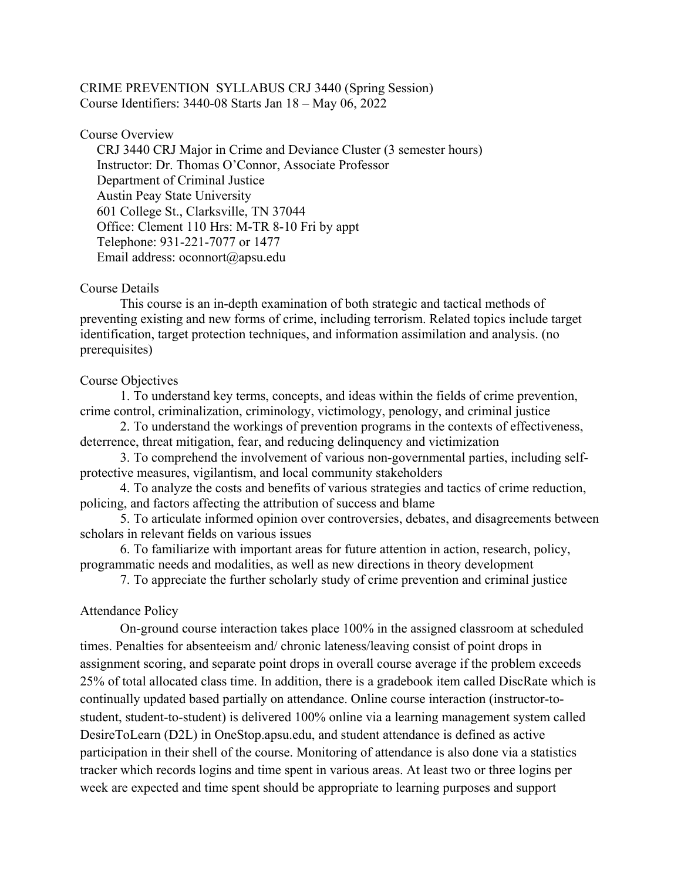## CRIME PREVENTION SYLLABUS CRJ 3440 (Spring Session) Course Identifiers: 3440-08 Starts Jan 18 – May 06, 2022

#### Course Overview

 CRJ 3440 CRJ Major in Crime and Deviance Cluster (3 semester hours) Instructor: Dr. Thomas O'Connor, Associate Professor Department of Criminal Justice Austin Peay State University 601 College St., Clarksville, TN 37044 Office: Clement 110 Hrs: M-TR 8-10 Fri by appt Telephone: 931-221-7077 or 1477 Email address: oconnort@apsu.edu

#### Course Details

 This course is an in-depth examination of both strategic and tactical methods of preventing existing and new forms of crime, including terrorism. Related topics include target identification, target protection techniques, and information assimilation and analysis. (no prerequisites)

#### Course Objectives

1. To understand key terms, concepts, and ideas within the fields of crime prevention, crime control, criminalization, criminology, victimology, penology, and criminal justice

2. To understand the workings of prevention programs in the contexts of effectiveness, deterrence, threat mitigation, fear, and reducing delinquency and victimization

3. To comprehend the involvement of various non-governmental parties, including selfprotective measures, vigilantism, and local community stakeholders

4. To analyze the costs and benefits of various strategies and tactics of crime reduction, policing, and factors affecting the attribution of success and blame

5. To articulate informed opinion over controversies, debates, and disagreements between scholars in relevant fields on various issues

6. To familiarize with important areas for future attention in action, research, policy, programmatic needs and modalities, as well as new directions in theory development

7. To appreciate the further scholarly study of crime prevention and criminal justice

## Attendance Policy

On-ground course interaction takes place 100% in the assigned classroom at scheduled times. Penalties for absenteeism and/ chronic lateness/leaving consist of point drops in assignment scoring, and separate point drops in overall course average if the problem exceeds 25% of total allocated class time. In addition, there is a gradebook item called DiscRate which is continually updated based partially on attendance. Online course interaction (instructor-tostudent, student-to-student) is delivered 100% online via a learning management system called DesireToLearn (D2L) in OneStop.apsu.edu, and student attendance is defined as active participation in their shell of the course. Monitoring of attendance is also done via a statistics tracker which records logins and time spent in various areas. At least two or three logins per week are expected and time spent should be appropriate to learning purposes and support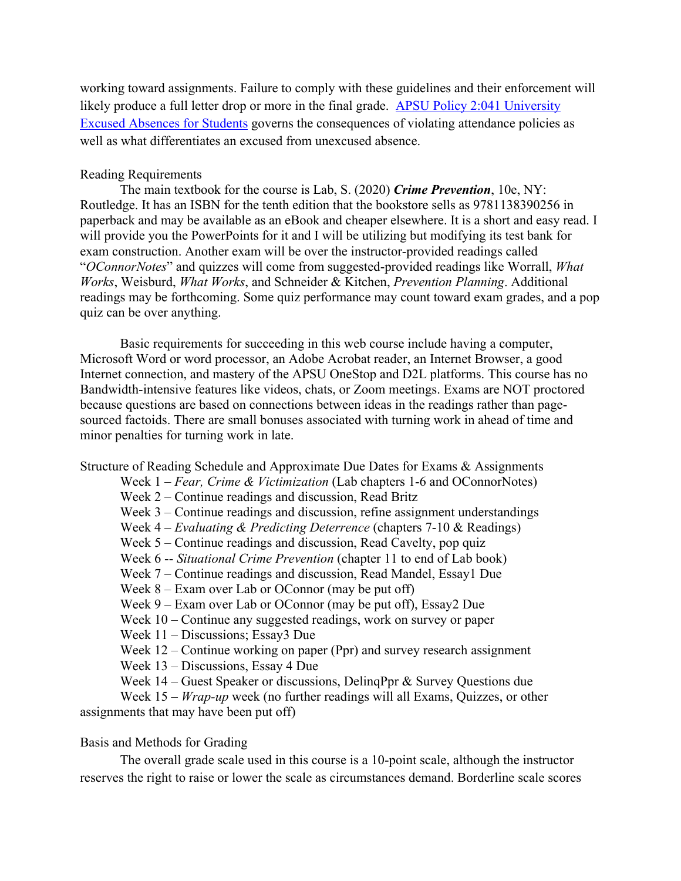working toward assignments. Failure to comply with these guidelines and their enforcement will likely produce a full letter drop or more in the final grade. [APSU Policy 2:041 University](https://apsu.policytech.com/docview/?docid=100&public=true)  [Excused Absences for Students](https://apsu.policytech.com/docview/?docid=100&public=true) governs the consequences of violating attendance policies as well as what differentiates an excused from unexcused absence.

## Reading Requirements

The main textbook for the course is Lab, S. (2020) *Crime Prevention*, 10e, NY: Routledge. It has an ISBN for the tenth edition that the bookstore sells as 9781138390256 in paperback and may be available as an eBook and cheaper elsewhere. It is a short and easy read. I will provide you the PowerPoints for it and I will be utilizing but modifying its test bank for exam construction. Another exam will be over the instructor-provided readings called "*OConnorNotes*" and quizzes will come from suggested-provided readings like Worrall, *What Works*, Weisburd, *What Works*, and Schneider & Kitchen, *Prevention Planning*. Additional readings may be forthcoming. Some quiz performance may count toward exam grades, and a pop quiz can be over anything.

Basic requirements for succeeding in this web course include having a computer, Microsoft Word or word processor, an Adobe Acrobat reader, an Internet Browser, a good Internet connection, and mastery of the APSU OneStop and D2L platforms. This course has no Bandwidth-intensive features like videos, chats, or Zoom meetings. Exams are NOT proctored because questions are based on connections between ideas in the readings rather than pagesourced factoids. There are small bonuses associated with turning work in ahead of time and minor penalties for turning work in late.

### Structure of Reading Schedule and Approximate Due Dates for Exams & Assignments

Week 1 – *Fear, Crime & Victimization* (Lab chapters 1-6 and OConnorNotes)

Week 2 – Continue readings and discussion, Read Britz

Week 3 – Continue readings and discussion, refine assignment understandings

Week 4 – *Evaluating & Predicting Deterrence* (chapters 7-10 & Readings)

Week 5 – Continue readings and discussion, Read Cavelty, pop quiz

Week 6 -- *Situational Crime Prevention* (chapter 11 to end of Lab book)

Week 7 – Continue readings and discussion, Read Mandel, Essay1 Due

Week 8 – Exam over Lab or OConnor (may be put off)

Week 9 – Exam over Lab or OConnor (may be put off), Essay2 Due

Week 10 – Continue any suggested readings, work on survey or paper

Week 11 – Discussions; Essay3 Due

Week 12 – Continue working on paper (Ppr) and survey research assignment

Week 13 – Discussions, Essay 4 Due

Week 14 – Guest Speaker or discussions, DelinqPpr & Survey Questions due

Week 15 – *Wrap-up* week (no further readings will all Exams, Quizzes, or other assignments that may have been put off)

# Basis and Methods for Grading

The overall grade scale used in this course is a 10-point scale, although the instructor reserves the right to raise or lower the scale as circumstances demand. Borderline scale scores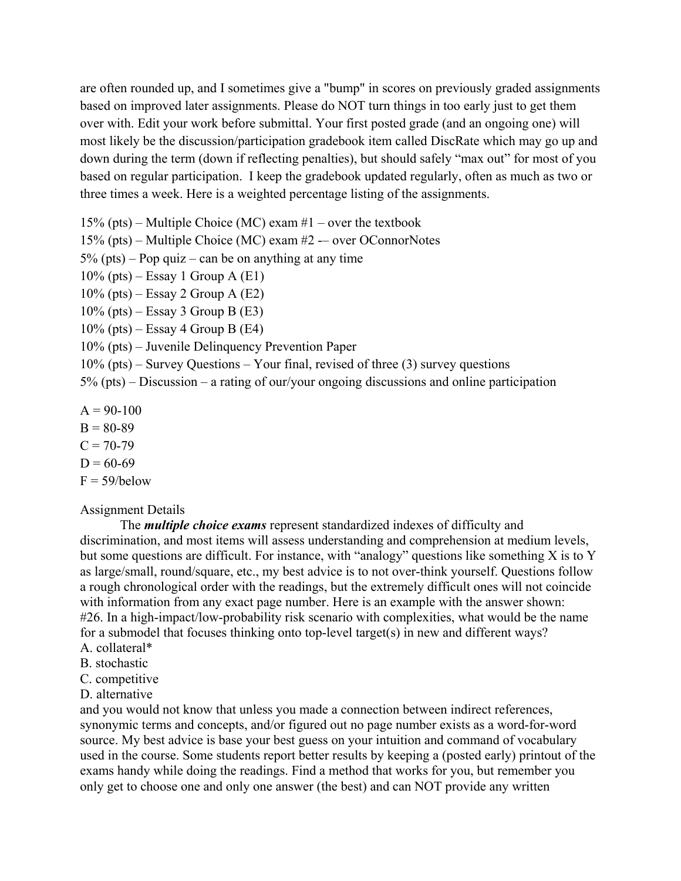are often rounded up, and I sometimes give a "bump" in scores on previously graded assignments based on improved later assignments. Please do NOT turn things in too early just to get them over with. Edit your work before submittal. Your first posted grade (and an ongoing one) will most likely be the discussion/participation gradebook item called DiscRate which may go up and down during the term (down if reflecting penalties), but should safely "max out" for most of you based on regular participation. I keep the gradebook updated regularly, often as much as two or three times a week. Here is a weighted percentage listing of the assignments.

15% (pts) – Multiple Choice (MC) exam  $#1$  – over the textbook

15% (pts) – Multiple Choice (MC) exam #2 -– over OConnorNotes

 $5\%$  (pts) – Pop quiz – can be on anything at any time

- $10\%$  (pts) Essay 1 Group A (E1)
- $10\%$  (pts) Essay 2 Group A (E2)
- $10\%$  (pts) Essay 3 Group B (E3)
- $10\%$  (pts) Essay 4 Group B (E4)
- 10% (pts) Juvenile Delinquency Prevention Paper
- 10% (pts) Survey Questions Your final, revised of three (3) survey questions

5% (pts) – Discussion – a rating of our/your ongoing discussions and online participation

- $A = 90-100$
- $B = 80-89$
- $C = 70-79$
- $D = 60-69$
- $F = 59/below$

### Assignment Details

The *multiple choice exams* represent standardized indexes of difficulty and discrimination, and most items will assess understanding and comprehension at medium levels, but some questions are difficult. For instance, with "analogy" questions like something X is to Y as large/small, round/square, etc., my best advice is to not over-think yourself. Questions follow a rough chronological order with the readings, but the extremely difficult ones will not coincide with information from any exact page number. Here is an example with the answer shown: #26. In a high-impact/low-probability risk scenario with complexities, what would be the name for a submodel that focuses thinking onto top-level target(s) in new and different ways?

- A. collateral\*
- B. stochastic
- C. competitive
- D. alternative

and you would not know that unless you made a connection between indirect references, synonymic terms and concepts, and/or figured out no page number exists as a word-for-word source. My best advice is base your best guess on your intuition and command of vocabulary used in the course. Some students report better results by keeping a (posted early) printout of the exams handy while doing the readings. Find a method that works for you, but remember you only get to choose one and only one answer (the best) and can NOT provide any written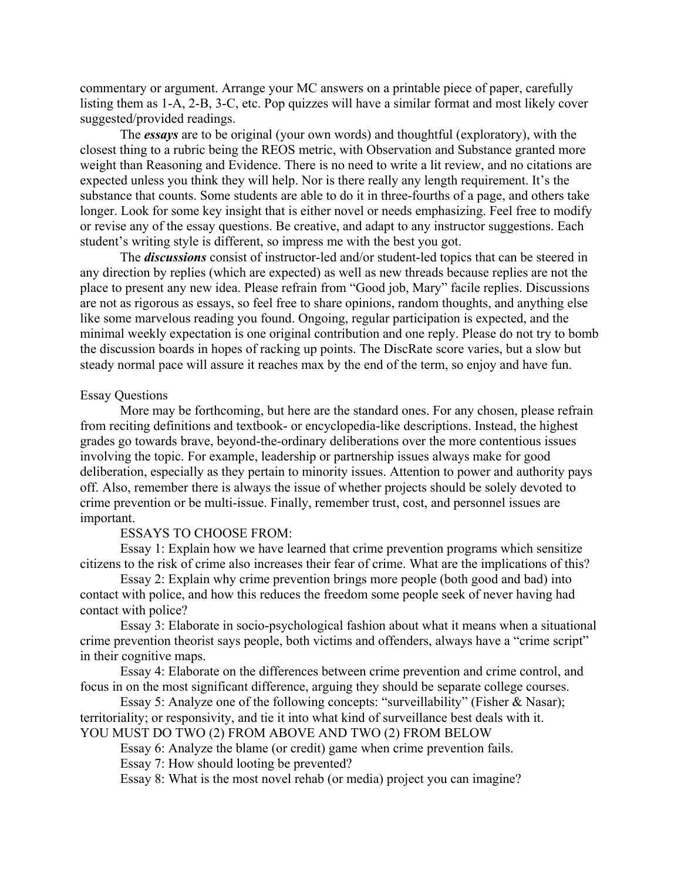commentary or argument. Arrange your MC answers on a printable piece of paper, carefully listing them as 1-A, 2-B, 3-C, etc. Pop quizzes will have a similar format and most likely cover suggested/provided readings.

The *essays* are to be original (your own words) and thoughtful (exploratory), with the closest thing to a rubric being the REOS metric, with Observation and Substance granted more weight than Reasoning and Evidence. There is no need to write a lit review, and no citations are expected unless you think they will help. Nor is there really any length requirement. It's the substance that counts. Some students are able to do it in three-fourths of a page, and others take longer. Look for some key insight that is either novel or needs emphasizing. Feel free to modify or revise any of the essay questions. Be creative, and adapt to any instructor suggestions. Each student's writing style is different, so impress me with the best you got.

The *discussions* consist of instructor-led and/or student-led topics that can be steered in any direction by replies (which are expected) as well as new threads because replies are not the place to present any new idea. Please refrain from "Good job, Mary" facile replies. Discussions are not as rigorous as essays, so feel free to share opinions, random thoughts, and anything else like some marvelous reading you found. Ongoing, regular participation is expected, and the minimal weekly expectation is one original contribution and one reply. Please do not try to bomb the discussion boards in hopes of racking up points. The DiscRate score varies, but a slow but steady normal pace will assure it reaches max by the end of the term, so enjoy and have fun.

#### Essay Questions

More may be forthcoming, but here are the standard ones. For any chosen, please refrain from reciting definitions and textbook- or encyclopedia-like descriptions. Instead, the highest grades go towards brave, beyond-the-ordinary deliberations over the more contentious issues involving the topic. For example, leadership or partnership issues always make for good deliberation, especially as they pertain to minority issues. Attention to power and authority pays off. Also, remember there is always the issue of whether projects should be solely devoted to crime prevention or be multi-issue. Finally, remember trust, cost, and personnel issues are important.

### ESSAYS TO CHOOSE FROM:

Essay 1: Explain how we have learned that crime prevention programs which sensitize citizens to the risk of crime also increases their fear of crime. What are the implications of this?

Essay 2: Explain why crime prevention brings more people (both good and bad) into contact with police, and how this reduces the freedom some people seek of never having had contact with police?

Essay 3: Elaborate in socio-psychological fashion about what it means when a situational crime prevention theorist says people, both victims and offenders, always have a "crime script" in their cognitive maps.

Essay 4: Elaborate on the differences between crime prevention and crime control, and focus in on the most significant difference, arguing they should be separate college courses.

Essay 5: Analyze one of the following concepts: "surveillability" (Fisher & Nasar); territoriality; or responsivity, and tie it into what kind of surveillance best deals with it. YOU MUST DO TWO (2) FROM ABOVE AND TWO (2) FROM BELOW

Essay 6: Analyze the blame (or credit) game when crime prevention fails. Essay 7: How should looting be prevented?

Essay 8: What is the most novel rehab (or media) project you can imagine?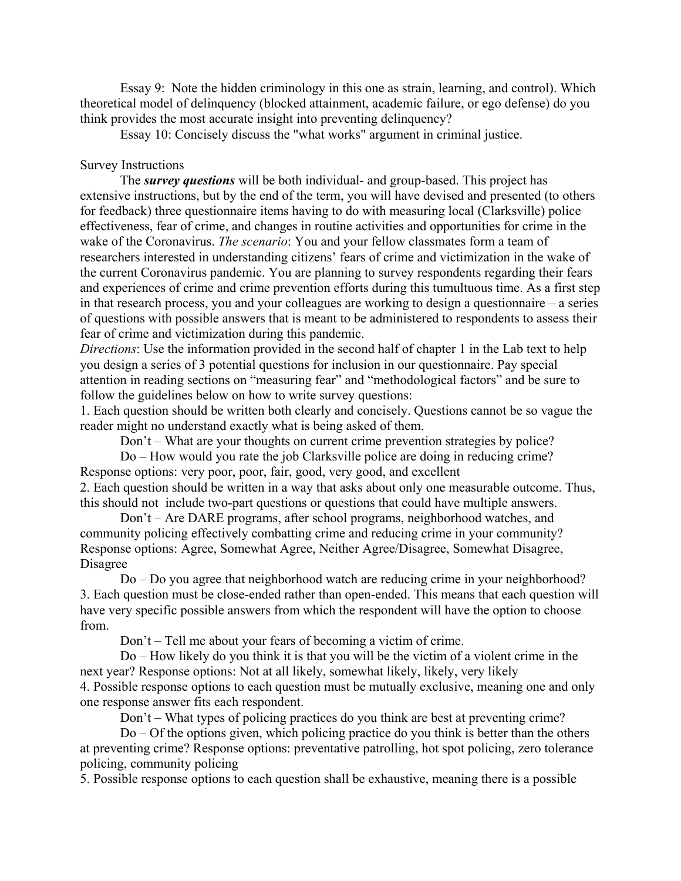Essay 9: Note the hidden criminology in this one as strain, learning, and control). Which theoretical model of delinquency (blocked attainment, academic failure, or ego defense) do you think provides the most accurate insight into preventing delinquency?

Essay 10: Concisely discuss the "what works" argument in criminal justice.

# Survey Instructions

The *survey questions* will be both individual- and group-based. This project has extensive instructions, but by the end of the term, you will have devised and presented (to others for feedback) three questionnaire items having to do with measuring local (Clarksville) police effectiveness, fear of crime, and changes in routine activities and opportunities for crime in the wake of the Coronavirus. *The scenario*: You and your fellow classmates form a team of researchers interested in understanding citizens' fears of crime and victimization in the wake of the current Coronavirus pandemic. You are planning to survey respondents regarding their fears and experiences of crime and crime prevention efforts during this tumultuous time. As a first step in that research process, you and your colleagues are working to design a questionnaire – a series of questions with possible answers that is meant to be administered to respondents to assess their fear of crime and victimization during this pandemic.

*Directions*: Use the information provided in the second half of chapter 1 in the Lab text to help you design a series of 3 potential questions for inclusion in our questionnaire. Pay special attention in reading sections on "measuring fear" and "methodological factors" and be sure to follow the guidelines below on how to write survey questions:

1. Each question should be written both clearly and concisely. Questions cannot be so vague the reader might no understand exactly what is being asked of them.

Don't – What are your thoughts on current crime prevention strategies by police?

Do – How would you rate the job Clarksville police are doing in reducing crime? Response options: very poor, poor, fair, good, very good, and excellent

2. Each question should be written in a way that asks about only one measurable outcome. Thus, this should not include two-part questions or questions that could have multiple answers.

Don't – Are DARE programs, after school programs, neighborhood watches, and community policing effectively combatting crime and reducing crime in your community? Response options: Agree, Somewhat Agree, Neither Agree/Disagree, Somewhat Disagree, Disagree

Do – Do you agree that neighborhood watch are reducing crime in your neighborhood? 3. Each question must be close-ended rather than open-ended. This means that each question will have very specific possible answers from which the respondent will have the option to choose from.

Don't – Tell me about your fears of becoming a victim of crime.

Do – How likely do you think it is that you will be the victim of a violent crime in the next year? Response options: Not at all likely, somewhat likely, likely, very likely 4. Possible response options to each question must be mutually exclusive, meaning one and only one response answer fits each respondent.

Don't – What types of policing practices do you think are best at preventing crime?

Do – Of the options given, which policing practice do you think is better than the others at preventing crime? Response options: preventative patrolling, hot spot policing, zero tolerance policing, community policing

5. Possible response options to each question shall be exhaustive, meaning there is a possible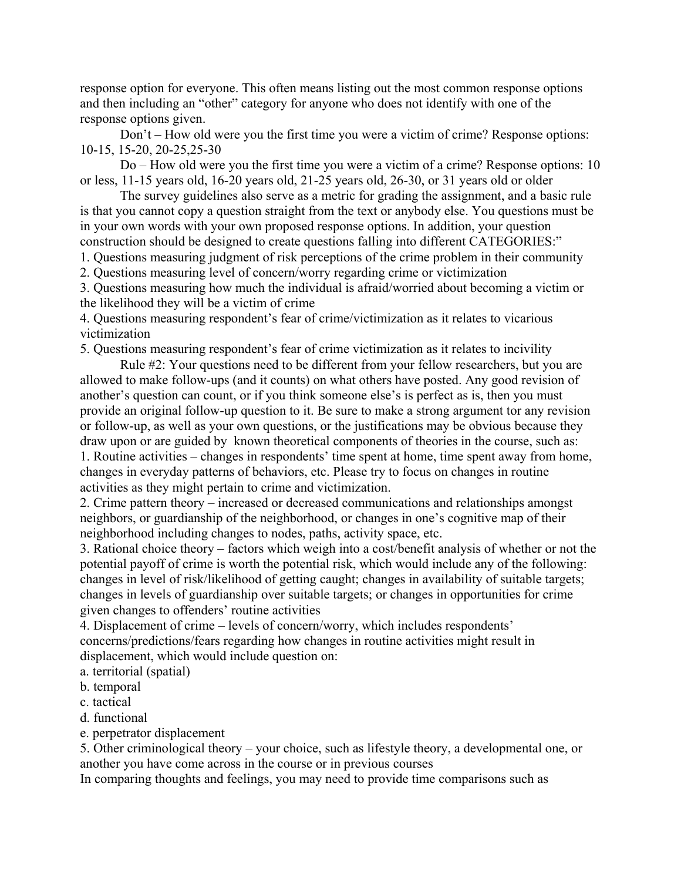response option for everyone. This often means listing out the most common response options and then including an "other" category for anyone who does not identify with one of the response options given.

Don't – How old were you the first time you were a victim of crime? Response options: 10-15, 15-20, 20-25,25-30

Do – How old were you the first time you were a victim of a crime? Response options: 10 or less, 11-15 years old, 16-20 years old, 21-25 years old, 26-30, or 31 years old or older

The survey guidelines also serve as a metric for grading the assignment, and a basic rule is that you cannot copy a question straight from the text or anybody else. You questions must be in your own words with your own proposed response options. In addition, your question construction should be designed to create questions falling into different CATEGORIES:"

1. Questions measuring judgment of risk perceptions of the crime problem in their community

2. Questions measuring level of concern/worry regarding crime or victimization

3. Questions measuring how much the individual is afraid/worried about becoming a victim or the likelihood they will be a victim of crime

4. Questions measuring respondent's fear of crime/victimization as it relates to vicarious victimization

5. Questions measuring respondent's fear of crime victimization as it relates to incivility

Rule #2: Your questions need to be different from your fellow researchers, but you are allowed to make follow-ups (and it counts) on what others have posted. Any good revision of another's question can count, or if you think someone else's is perfect as is, then you must provide an original follow-up question to it. Be sure to make a strong argument tor any revision or follow-up, as well as your own questions, or the justifications may be obvious because they draw upon or are guided by known theoretical components of theories in the course, such as: 1. Routine activities – changes in respondents' time spent at home, time spent away from home, changes in everyday patterns of behaviors, etc. Please try to focus on changes in routine activities as they might pertain to crime and victimization.

2. Crime pattern theory – increased or decreased communications and relationships amongst neighbors, or guardianship of the neighborhood, or changes in one's cognitive map of their neighborhood including changes to nodes, paths, activity space, etc.

3. Rational choice theory – factors which weigh into a cost/benefit analysis of whether or not the potential payoff of crime is worth the potential risk, which would include any of the following: changes in level of risk/likelihood of getting caught; changes in availability of suitable targets; changes in levels of guardianship over suitable targets; or changes in opportunities for crime given changes to offenders' routine activities

4. Displacement of crime – levels of concern/worry, which includes respondents' concerns/predictions/fears regarding how changes in routine activities might result in displacement, which would include question on:

a. territorial (spatial)

b. temporal

c. tactical

d. functional

e. perpetrator displacement

5. Other criminological theory – your choice, such as lifestyle theory, a developmental one, or another you have come across in the course or in previous courses

In comparing thoughts and feelings, you may need to provide time comparisons such as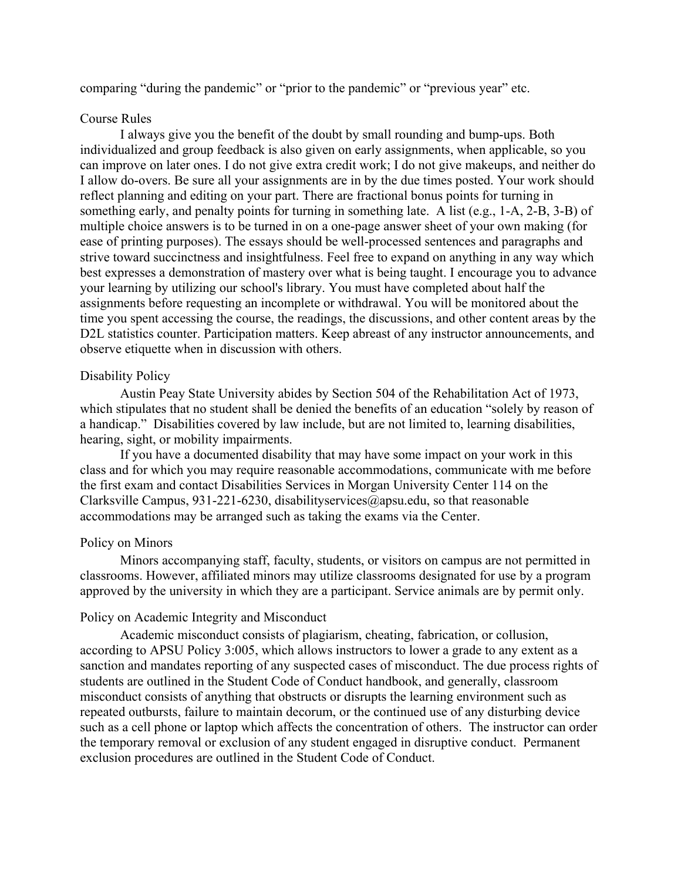comparing "during the pandemic" or "prior to the pandemic" or "previous year" etc.

## Course Rules

I always give you the benefit of the doubt by small rounding and bump-ups. Both individualized and group feedback is also given on early assignments, when applicable, so you can improve on later ones. I do not give extra credit work; I do not give makeups, and neither do I allow do-overs. Be sure all your assignments are in by the due times posted. Your work should reflect planning and editing on your part. There are fractional bonus points for turning in something early, and penalty points for turning in something late. A list (e.g., 1-A, 2-B, 3-B) of multiple choice answers is to be turned in on a one-page answer sheet of your own making (for ease of printing purposes). The essays should be well-processed sentences and paragraphs and strive toward succinctness and insightfulness. Feel free to expand on anything in any way which best expresses a demonstration of mastery over what is being taught. I encourage you to advance your learning by utilizing our school's library. You must have completed about half the assignments before requesting an incomplete or withdrawal. You will be monitored about the time you spent accessing the course, the readings, the discussions, and other content areas by the D2L statistics counter. Participation matters. Keep abreast of any instructor announcements, and observe etiquette when in discussion with others.

## Disability Policy

Austin Peay State University abides by Section 504 of the Rehabilitation Act of 1973, which stipulates that no student shall be denied the benefits of an education "solely by reason of a handicap." Disabilities covered by law include, but are not limited to, learning disabilities, hearing, sight, or mobility impairments.

If you have a documented disability that may have some impact on your work in this class and for which you may require reasonable accommodations, communicate with me before the first exam and contact Disabilities Services in Morgan University Center 114 on the Clarksville Campus, 931-221-6230, disabilityservices@apsu.edu, so that reasonable accommodations may be arranged such as taking the exams via the Center.

### Policy on Minors

Minors accompanying staff, faculty, students, or visitors on campus are not permitted in classrooms. However, affiliated minors may utilize classrooms designated for use by a program approved by the university in which they are a participant. Service animals are by permit only.

### Policy on Academic Integrity and Misconduct

Academic misconduct consists of plagiarism, cheating, fabrication, or collusion, according to APSU Policy 3:005, which allows instructors to lower a grade to any extent as a sanction and mandates reporting of any suspected cases of misconduct. The due process rights of students are outlined in the Student Code of Conduct handbook, and generally, classroom misconduct consists of anything that obstructs or disrupts the learning environment such as repeated outbursts, failure to maintain decorum, or the continued use of any disturbing device such as a cell phone or laptop which affects the concentration of others. The instructor can order the temporary removal or exclusion of any student engaged in disruptive conduct. Permanent exclusion procedures are outlined in the Student Code of Conduct.